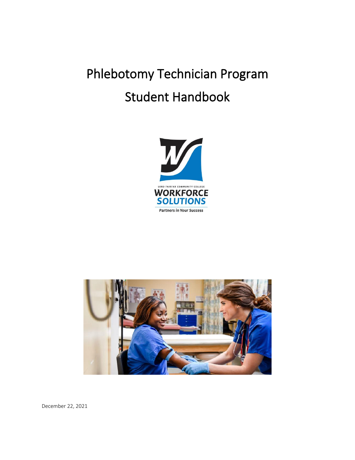# Phlebotomy Technician Program Student Handbook





December 22, 2021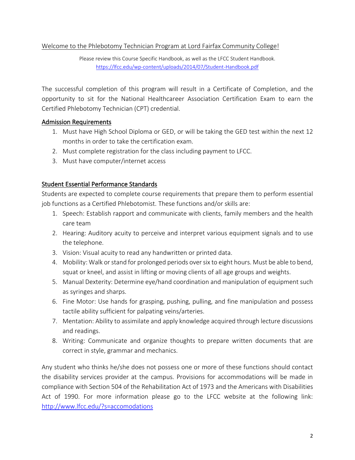# Welcome to the Phlebotomy Technician Program at Lord Fairfax Community College!

Please review this Course Specific Handbook, as well as the LFCC Student Handbook. <https://lfcc.edu/wp-content/uploads/2014/07/Student-Handbook.pdf>

The successful completion of this program will result in a Certificate of Completion, and the opportunity to sit for the National Healthcareer Association Certification Exam to earn the Certified Phlebotomy Technician (CPT) credential.

# Admission Requirements

- 1. Must have High School Diploma or GED, or will be taking the GED test within the next 12 months in order to take the certification exam.
- 2. Must complete registration for the class including payment to LFCC.
- 3. Must have computer/internet access

# Student Essential Performance Standards

Students are expected to complete course requirements that prepare them to perform essential job functions as a Certified Phlebotomist. These functions and/or skills are:

- 1. Speech: Establish rapport and communicate with clients, family members and the health care team
- 2. Hearing: Auditory acuity to perceive and interpret various equipment signals and to use the telephone.
- 3. Vision: Visual acuity to read any handwritten or printed data.
- 4. Mobility: Walk or stand for prolonged periods over six to eight hours. Must be able to bend, squat or kneel, and assist in lifting or moving clients of all age groups and weights.
- 5. Manual Dexterity: Determine eye/hand coordination and manipulation of equipment such as syringes and sharps.
- 6. Fine Motor: Use hands for grasping, pushing, pulling, and fine manipulation and possess tactile ability sufficient for palpating veins/arteries.
- 7. Mentation: Ability to assimilate and apply knowledge acquired through lecture discussions and readings.
- 8. Writing: Communicate and organize thoughts to prepare written documents that are correct in style, grammar and mechanics.

Any student who thinks he/she does not possess one or more of these functions should contact the disability services provider at the campus. Provisions for accommodations will be made in compliance with Section 504 of the Rehabilitation Act of 1973 and the Americans with Disabilities Act of 1990. For more information please go to the LFCC website at the following link: <http://www.lfcc.edu/?s=accomodations>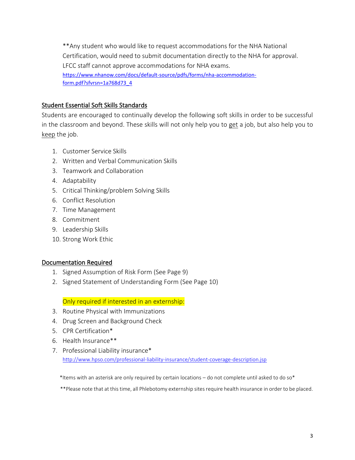\*\*Any student who would like to request accommodations for the NHA National Certification, would need to submit documentation directly to the NHA for approval. LFCC staff cannot approve accommodations for NHA exams. [https://www.nhanow.com/docs/default-source/pdfs/forms/nha-accommodation](https://www.nhanow.com/docs/default-source/pdfs/forms/nha-accommodation-form.pdf?sfvrsn=1a768d73_4)[form.pdf?sfvrsn=1a768d73\\_4](https://www.nhanow.com/docs/default-source/pdfs/forms/nha-accommodation-form.pdf?sfvrsn=1a768d73_4)

# Student Essential Soft Skills Standards

Students are encouraged to continually develop the following soft skills in order to be successful in the classroom and beyond. These skills will not only help you to get a job, but also help you to keep the job.

- 1. Customer Service Skills
- 2. Written and Verbal Communication Skills
- 3. Teamwork and Collaboration
- 4. Adaptability
- 5. Critical Thinking/problem Solving Skills
- 6. Conflict Resolution
- 7. Time Management
- 8. Commitment
- 9. Leadership Skills
- 10. Strong Work Ethic

## Documentation Required

- 1. Signed Assumption of Risk Form (See Page 9)
- 2. Signed Statement of Understanding Form (See Page 10)

## Only required if interested in an externship:

- 3. Routine Physical with Immunizations
- 4. Drug Screen and Background Check
- 5. CPR Certification\*
- 6. Health Insurance\*\*
- 7. Professional Liability insurance\* <http://www.hpso.com/professional-liability-insurance/student-coverage-description.jsp>

\*Items with an asterisk are only required by certain locations – do not complete until asked to do so\*

\*\*Please note that at this time, all Phlebotomy externship sites require health insurance in order to be placed.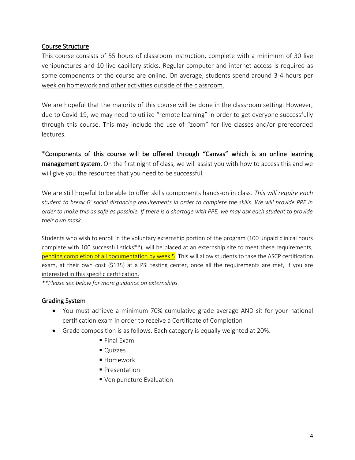## Course Structure

This course consists of 55 hours of classroom instruction, complete with a minimum of 30 live venipunctures and 10 live capillary sticks. Regular computer and internet access is required as some components of the course are online. On average, students spend around 3-4 hours per week on homework and other activities outside of the classroom.

We are hopeful that the majority of this course will be done in the classroom setting. However, due to Covid-19, we may need to utilize "remote learning" in order to get everyone successfully through this course. This may include the use of "zoom" for live classes and/or prerecorded lectures.

\*Components of this course will be offered through "Canvas" which is an online learning management system. On the first night of class, we will assist you with how to access this and we will give you the resources that you need to be successful.

We are still hopeful to be able to offer skills components hands-on in class. *This will require each student to break 6' social distancing requirements in order to complete the skills. We will provide PPE in order to make this as safe as possible. If there is a shortage with PPE, we may ask each student to provide their own mask.*

Students who wish to enroll in the voluntary externship portion of the program (100 unpaid clinical hours complete with 100 successful sticks\*\*), will be placed at an externship site to meet these requirements, pending completion of all documentation by week 5. This will allow students to take the ASCP certification exam, at their own cost (\$135) at a PSI testing center, once all the requirements are met, if you are interested in this specific certification.

*\*\*Please see below for more guidance on externships.*

## Grading System

- You must achieve a minimum 70% cumulative grade average AND sit for your national certification exam in order to receive a Certificate of Completion
- Grade composition is as follows. Each category is equally weighted at 20%.
	- $\blacksquare$  Final Exam
	- Quizzes
	- Homework
	- Presentation
	- **Venipuncture Evaluation**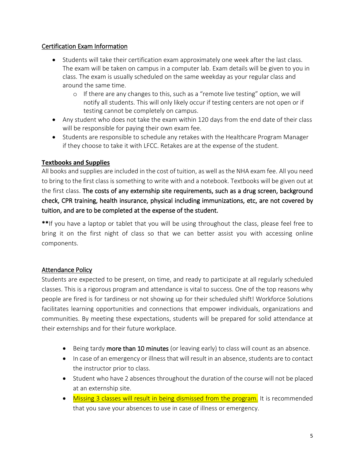# Certification Exam Information

- Students will take their certification exam approximately one week after the last class. The exam will be taken on campus in a computer lab. Exam details will be given to you in class. The exam is usually scheduled on the same weekday as your regular class and around the same time.
	- $\circ$  If there are any changes to this, such as a "remote live testing" option, we will notify all students. This will only likely occur if testing centers are not open or if testing cannot be completely on campus.
- Any student who does not take the exam within 120 days from the end date of their class will be responsible for paying their own exam fee.
- Students are responsible to schedule any retakes with the Healthcare Program Manager if they choose to take it with LFCC. Retakes are at the expense of the student.

# **Textbooks and Supplies**

All books and supplies are included in the cost of tuition, as well as the NHA exam fee. All you need to bring to the first class is something to write with and a notebook. Textbooks will be given out at the first class. The costs of any externship site requirements, such as a drug screen, background check, CPR training, health insurance, physical including immunizations, etc, are not covered by tuition, and are to be completed at the expense of the student.

\*\*If you have a laptop or tablet that you will be using throughout the class, please feel free to bring it on the first night of class so that we can better assist you with accessing online components.

# Attendance Policy

Students are expected to be present, on time, and ready to participate at all regularly scheduled classes. This is a rigorous program and attendance is vital to success. One of the top reasons why people are fired is for tardiness or not showing up for their scheduled shift! Workforce Solutions facilitates learning opportunities and connections that empower individuals, organizations and communities. By meeting these expectations, students will be prepared for solid attendance at their externships and for their future workplace.

- Being tardy more than 10 minutes (or leaving early) to class will count as an absence.
- In case of an emergency or illness that will result in an absence, students are to contact the instructor prior to class.
- Student who have 2 absences throughout the duration of the course will not be placed at an externship site.
- Missing 3 classes will result in being dismissed from the program. It is recommended that you save your absences to use in case of illness or emergency.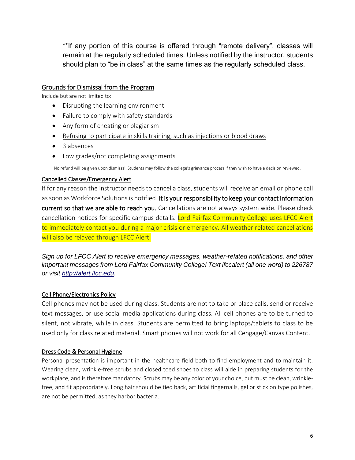\*\*If any portion of this course is offered through "remote delivery", classes will remain at the regularly scheduled times. Unless notified by the instructor, students should plan to "be in class" at the same times as the regularly scheduled class.

## Grounds for Dismissal from the Program

Include but are not limited to:

- Disrupting the learning environment
- Failure to comply with safety standards
- Any form of cheating or plagiarism
- Refusing to participate in skills training, such as injections or blood draws
- 3 absences
- Low grades/not completing assignments

No refund will be given upon dismissal. Students may follow the college's grievance process if they wish to have a decision reviewed.

#### Cancelled Classes/Emergency Alert

If for any reason the instructor needs to cancel a class, students will receive an email or phone call as soon as Workforce Solutions is notified. It is your responsibility to keep your contact information current so that we are able to reach you. Cancellations are not always system wide. Please check cancellation notices for specific campus details. Lord Fairfax Community College uses LFCC Alert to immediately contact you during a major crisis or emergency. All weather related cancellations will also be relayed through LFCC Alert.

*Sign up for LFCC Alert to receive emergency messages, weather-related notifications, and other important messages from Lord Fairfax Community College! Text lfccalert (all one word) to 226787 or visit [http://alert.lfcc.edu.](http://alert.lfcc.edu/)*

#### Cell Phone/Electronics Policy

Cell phones may not be used during class. Students are not to take or place calls, send or receive text messages, or use social media applications during class. All cell phones are to be turned to silent, not vibrate, while in class. Students are permitted to bring laptops/tablets to class to be used only for class related material. Smart phones will not work for all Cengage/Canvas Content.

#### Dress Code & Personal Hygiene

Personal presentation is important in the healthcare field both to find employment and to maintain it. Wearing clean, wrinkle-free scrubs and closed toed shoes to class will aide in preparing students for the workplace, and is therefore mandatory. Scrubs may be any color of your choice, but must be clean, wrinklefree, and fit appropriately. Long hair should be tied back, artificial fingernails, gel or stick on type polishes, are not be permitted, as they harbor bacteria.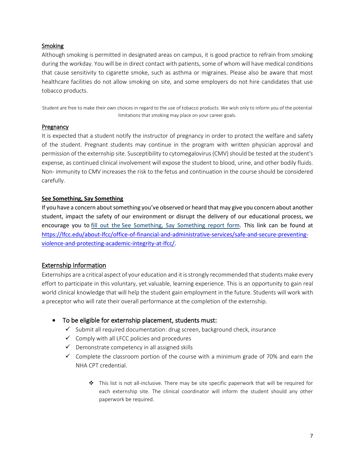#### **Smoking**

Although smoking is permitted in designated areas on campus, it is good practice to refrain from smoking during the workday. You will be in direct contact with patients, some of whom will have medical conditions that cause sensitivity to cigarette smoke, such as asthma or migraines. Please also be aware that most healthcare facilities do not allow smoking on site, and some employers do not hire candidates that use tobacco products.

Student are free to make their own choices in regard to the use of tobacco products. We wish only to inform you of the potential limitations that smoking may place on your career goals.

#### **Pregnancy**

It is expected that a student notify the instructor of pregnancy in order to protect the welfare and safety of the student. Pregnant students may continue in the program with written physician approval and permission of the externship site. Susceptibility to cytomegalovirus (CMV) should be tested at the student's expense, as continued clinical involvement will expose the student to blood, urine, and other bodily fluids. Non- immunity to CMV increases the risk to the fetus and continuation in the course should be considered carefully.

#### **See Something, Say Something**

If you have a concern about something you've observed or heard that may give you concern about another student, impact the safety of our environment or disrupt the delivery of our educational process, we encourage you to fill out the See [Something,](https://publicdocs.maxient.com/incidentreport.php?LordFairfaxCC) Say Something report form. This link can be found at [https://lfcc.edu/about-lfcc/office-of-financial-and-administrative-services/safe-and-secure-preventing](https://lfcc.edu/about-lfcc/office-of-financial-and-administrative-services/safe-and-secure-preventing-violence-and-protecting-academic-integrity-at-lfcc/)[violence-and-protecting-academic-integrity-at-lfcc/.](https://lfcc.edu/about-lfcc/office-of-financial-and-administrative-services/safe-and-secure-preventing-violence-and-protecting-academic-integrity-at-lfcc/)

#### Externship Information

Externships are a critical aspect of your education and it is strongly recommended that students make every effort to participate in this voluntary, yet valuable, learning experience. This is an opportunity to gain real world clinical knowledge that will help the student gain employment in the future. Students will work with a preceptor who will rate their overall performance at the completion of the externship.

- To be eligible for externship placement, students must:
	- $\checkmark$  Submit all required documentation: drug screen, background check, insurance
	- $\checkmark$  Comply with all LFCC policies and procedures
	- $\checkmark$  Demonstrate competency in all assigned skills
	- $\checkmark$  Complete the classroom portion of the course with a minimum grade of 70% and earn the NHA CPT credential.
		- ❖ This list is not all-inclusive. There may be site specific paperwork that will be required for each externship site. The clinical coordinator will inform the student should any other paperwork be required.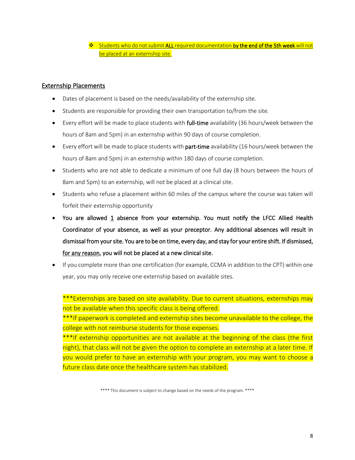❖ Students who do not submit ALL required documentation by the end of the 5th week will not be placed at an externship site.

#### Externship Placements

- Dates of placement is based on the needs/availability of the externship site.
- Students are responsible for providing their own transportation to/from the site.
- Every effort will be made to place students with **full-time** availability (36 hours/week between the hours of 8am and 5pm) in an externship within 90 days of course completion.
- Every effort will be made to place students with part-time availability (16 hours/week between the hours of 8am and 5pm) in an externship within 180 days of course completion.
- Students who are not able to dedicate a minimum of one full day (8 hours between the hours of 8am and 5pm) to an externship, will not be placed at a clinical site.
- Students who refuse a placement within 60 miles of the campus where the course was taken will forfeit their externship opportunity
- You are allowed  $1$  absence from your externship. You must notify the LFCC Allied Health Coordinator of your absence, as well as your preceptor. Any additional absences will result in dismissal from your site. You are to be on time, every day, and stay for your entire shift. If dismissed, for any reason, you will not be placed at a new clinical site.
- If you complete more than one certification (for example, CCMA in addition to the CPT) within one year, you may only receive one externship based on available sites.

\*\*\*Externships are based on site availability. Due to current situations, externships may not be available when this specific class is being offered. \*\*\*If paperwork is completed and externship sites become unavailable to the college, the college with not reimburse students for those expenses.

\*\*\*If externship opportunities are not available at the beginning of the class (the first night), that class will not be given the option to complete an externship at a later time. If you would prefer to have an externship with your program, you may want to choose a future class date once the healthcare system has stabilized.

<sup>\*\*\*\*</sup> This document is subject to change based on the needs of the program. \*\*\*\*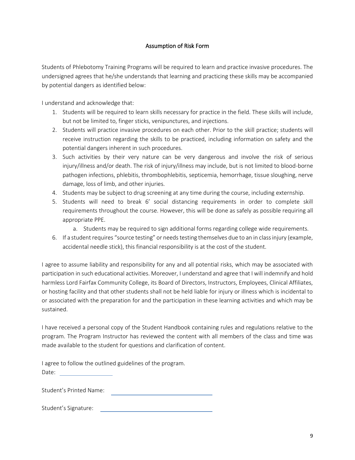#### Assumption of Risk Form

Students of Phlebotomy Training Programs will be required to learn and practice invasive procedures. The undersigned agrees that he/she understands that learning and practicing these skills may be accompanied by potential dangers as identified below:

I understand and acknowledge that:

- 1. Students will be required to learn skills necessary for practice in the field. These skills will include, but not be limited to, finger sticks, venipunctures, and injections.
- 2. Students will practice invasive procedures on each other. Prior to the skill practice; students will receive instruction regarding the skills to be practiced, including information on safety and the potential dangers inherent in such procedures.
- 3. Such activities by their very nature can be very dangerous and involve the risk of serious injury/illness and/or death. The risk of injury/illness may include, but is not limited to blood-borne pathogen infections, phlebitis, thrombophlebitis, septicemia, hemorrhage, tissue sloughing, nerve damage, loss of limb, and other injuries.
- 4. Students may be subject to drug screening at any time during the course, including externship.
- 5. Students will need to break 6' social distancing requirements in order to complete skill requirements throughout the course. However, this will be done as safely as possible requiring all appropriate PPE.
	- a. Students may be required to sign additional forms regarding college wide requirements.
- 6. If a student requires "source testing" or needs testing themselves due to an in class injury (example, accidental needle stick), this financial responsibility is at the cost of the student.

I agree to assume liability and responsibility for any and all potential risks, which may be associated with participation in such educational activities. Moreover, I understand and agree that I will indemnify and hold harmless Lord Fairfax Community College, its Board of Directors, Instructors, Employees, Clinical Affiliates, or hosting facility and that other students shall not be held liable for injury or illness which is incidental to or associated with the preparation for and the participation in these learning activities and which may be sustained.

I have received a personal copy of the Student Handbook containing rules and regulations relative to the program. The Program Instructor has reviewed the content with all members of the class and time was made available to the student for questions and clarification of content.

I agree to follow the outlined guidelines of the program. Date:

Student's Printed Name:

Student's Signature: